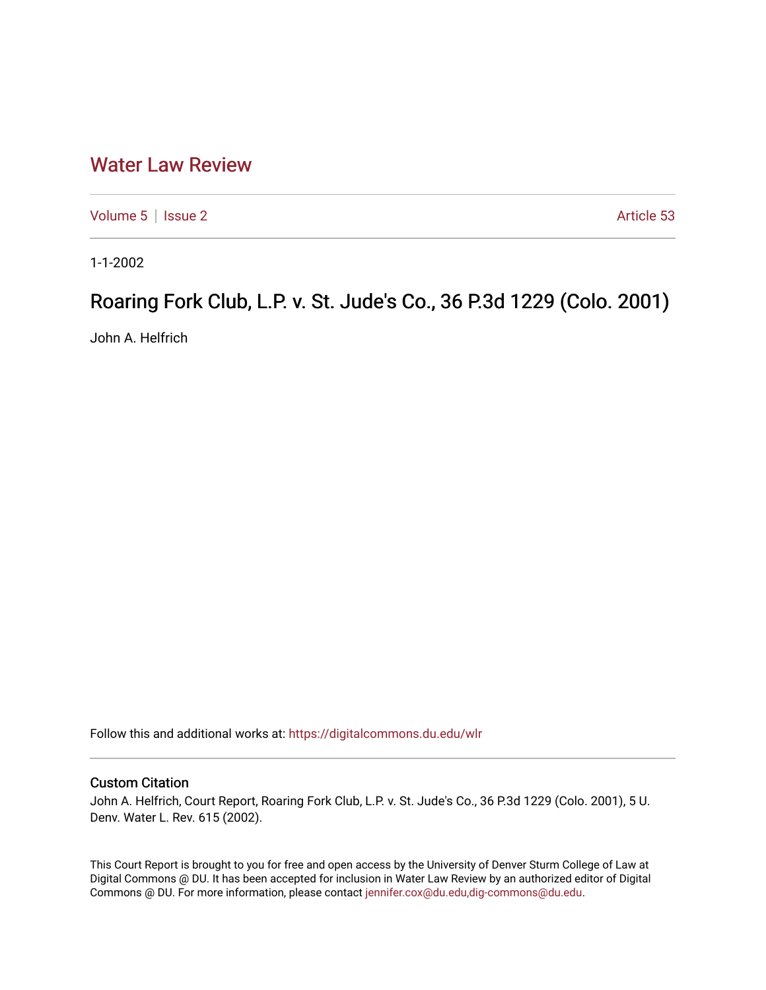## [Water Law Review](https://digitalcommons.du.edu/wlr)

[Volume 5](https://digitalcommons.du.edu/wlr/vol5) | [Issue 2](https://digitalcommons.du.edu/wlr/vol5/iss2) Article 53

1-1-2002

## Roaring Fork Club, L.P. v. St. Jude's Co., 36 P.3d 1229 (Colo. 2001)

John A. Helfrich

Follow this and additional works at: [https://digitalcommons.du.edu/wlr](https://digitalcommons.du.edu/wlr?utm_source=digitalcommons.du.edu%2Fwlr%2Fvol5%2Fiss2%2F53&utm_medium=PDF&utm_campaign=PDFCoverPages) 

## Custom Citation

John A. Helfrich, Court Report, Roaring Fork Club, L.P. v. St. Jude's Co., 36 P.3d 1229 (Colo. 2001), 5 U. Denv. Water L. Rev. 615 (2002).

This Court Report is brought to you for free and open access by the University of Denver Sturm College of Law at Digital Commons @ DU. It has been accepted for inclusion in Water Law Review by an authorized editor of Digital Commons @ DU. For more information, please contact [jennifer.cox@du.edu,dig-commons@du.edu.](mailto:jennifer.cox@du.edu,dig-commons@du.edu)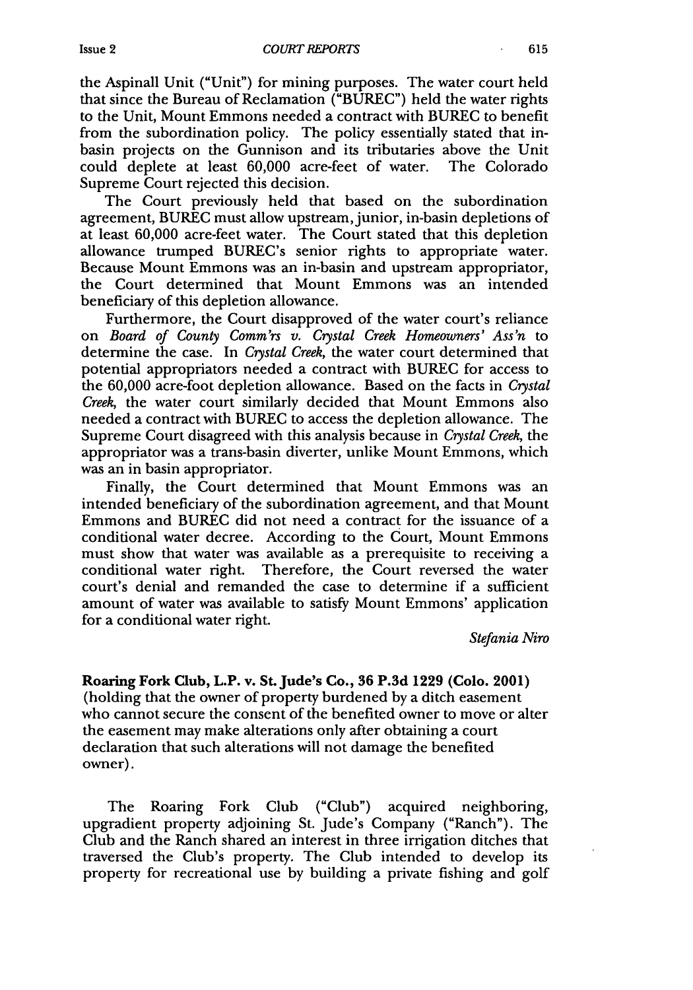the Aspinall Unit ("Unit") for mining purposes. The water court held that since the Bureau of Reclamation ("BUREC") held the water rights to the Unit, Mount Emmons needed a contract with BUREC to benefit from the subordination policy. The policy essentially stated that inbasin projects on the Gunnison and its tributaries above the Unit could deplete at least 60,000 acre-feet of water. The Colorado Supreme Court rejected this decision.

The Court previously held that based on the subordination agreement, BUREC must allow upstream, junior, in-basin depletions of at least 60,000 acre-feet water. The Court stated that this depletion allowance trumped BUREC's senior rights to appropriate water. Because Mount Emmons was an in-basin and upstream appropriator, the Court determined that Mount Emmons was an intended beneficiary of this depletion allowance.

Furthermore, the Court disapproved of the water court's reliance on *Board of County Comm'rs v. Crystal Creek Homeowners' Ass'n* to determine the case. In *Crystal Creek,* the water court determined that potential appropriators needed a contract with BUREC for access to the 60,000 acre-foot depletion allowance. Based on the facts in *Crystal Creek,* the water court similarly decided that Mount Emmons also needed a contract with BUREC to access the depletion allowance. The Supreme Court disagreed with this analysis because in *Crystal Creek,* the appropriator was a trans-basin diverter, unlike Mount Emmons, which was an in basin appropriator.

Finally, the Court determined that Mount Emmons was an intended beneficiary of the subordination agreement, and that Mount Emmons and BUREC did not need a contract for the issuance of a conditional water decree. According to the Court, Mount Emmons must show that water was available as a prerequisite to receiving a conditional water right. Therefore, the Court reversed the water court's denial and remanded the case to determine if a sufficient amount of water was available to satisfy Mount Emmons' application for a conditional water right.

*Stefania Niro*

**Roaring Fork Club, L.P. v. St. Jude's Co., 36 P.3d 1229 (Colo. 2001)** (holding that the owner of property burdened by a ditch easement who cannot secure the consent of the benefited owner to move or alter the easement may make alterations only after obtaining a court declaration that such alterations will not damage the benefited owner).

The Roaring Fork Club ("Club") acquired neighboring, upgradient property adjoining St. Jude's Company ("Ranch"). The Club and the Ranch shared an interest in three irrigation ditches that traversed the Club's property. The Club intended to develop its property for recreational use by building a private fishing and golf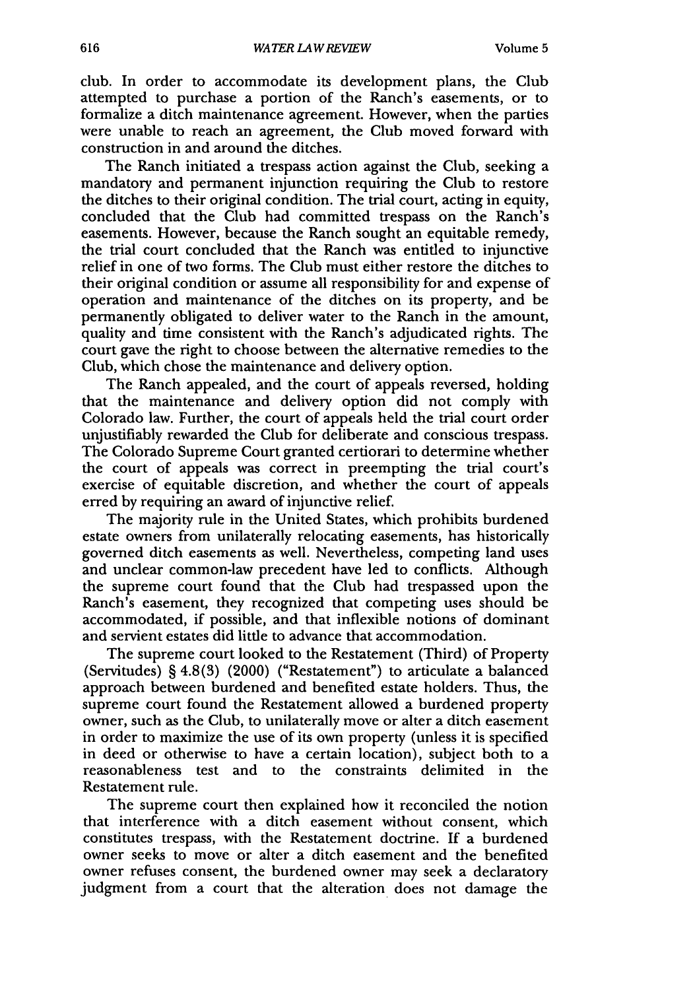club. In order to accommodate its development plans, the Club attempted to purchase a portion of the Ranch's easements, or to formalize a ditch maintenance agreement. However, when the parties were unable to reach an agreement, the Club moved forward with construction in and around the ditches.

The Ranch initiated a trespass action against the Club, seeking a mandatory and permanent injunction requiring the Club to restore the ditches to their original condition. The trial court, acting in equity, concluded that the Club had committed trespass on the Ranch's easements. However, because the Ranch sought an equitable remedy, the trial court concluded that the Ranch was entitled to injunctive relief in one of two forms. The Club must either restore the ditches to their original condition or assume all responsibility for and expense of operation and maintenance of the ditches on its property, and be permanently obligated to deliver water to the Ranch in the amount, quality and time consistent with the Ranch's adjudicated rights. The court gave the right to choose between the alternative remedies to the Club, which chose the maintenance and delivery option.

The Ranch appealed, and the court of appeals reversed, holding that the maintenance and delivery option did not comply with Colorado law. Further, the court of appeals held the trial court order unjustifiably rewarded the Club for deliberate and conscious trespass. The Colorado Supreme Court granted certiorari to determine whether the court of appeals was correct in preempting the trial court's exercise of equitable discretion, and whether the court of appeals erred by requiring an award of injunctive relief.

The majority rule in the United States, which prohibits burdened estate owners from unilaterally relocating easements, has historically governed ditch easements as well. Nevertheless, competing land uses and unclear common-law precedent have led to conflicts. Although the supreme court found that the Club had trespassed upon the Ranch's easement, they recognized that competing uses should be accommodated, if possible, and that inflexible notions of dominant and servient estates did little to advance that accommodation.

The supreme court looked to the Restatement (Third) of Property (Servitudes) § 4.8(3) (2000) ("Restatement") to articulate a balanced approach between burdened and benefited estate holders. Thus, the supreme court found the Restatement allowed a burdened property owner, such as the Club, to unilaterally move or alter a ditch easement in order to maximize the use of its own property (unless it is specified in deed or otherwise to have a certain location), subject both to a reasonableness test and to the constraints delimited in the Restatement rule.

The supreme court then explained how it reconciled the notion that interference with a ditch easement without consent, which constitutes trespass, with the Restatement doctrine. If a burdened owner seeks to move or alter a ditch easement and the benefited owner refuses consent, the burdened owner may seek a declaratory judgment from a court that the alteration does not damage the